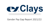

# Gender Pay Gap Report 2021/22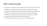## **What is a gender pay gap?**

The metrics that are necessary to report on under the rules on gender pay gap are as follows:

- ➢ The difference in mean pay of full-pay men and women, expressed as a percentage;
- ➢ The difference in the median pay of full-pay men and women, expressed as a percentage;
- ➢ The difference in mean bonus pay of men and women, expressed as a percentage;
- ➢ The difference in median bonus pay of men and women, expressed as a percentage;
- ➢ The proportion of men and women who received bonus pay; and
- ➢ The proportion of full-pay men and women in each of four quartile pay bands.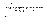### **The Calculations**

- ➢ The figures set out below have been calculated using the standard methodologies used in the Equality Act 2010 (Gender Pay Gap Information) Regulations 2017.
- ➢ Our calculations included 162 female "full pay relevant" employees and 628 men, full and part time. Full pay relevant employees are those who received their standard wage payment for the snapshot date (the month of April 2021). Any employee who did not receive their full pay for any reason (for example, through being on parental leave, sick leave etc.) would not have been included in the calculations with the exception of the bonus pay gap calculations whereby all employees were included.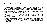#### **Mean and Median Calculations**

- ➢ In order to calculate the gender pay gap, the hourly rate of all employees first needed to be calculated. Elements included in this were basic salary payments. Items that needed to be deducted from total monthly payments were any salary sacrifice items (e.g. childcare vouchers and pension).
- ➢ Once all relevant employees' hourly pay rates had been calculated, they were split into females and males and the mean average pay rate was calculated.
- $\triangleright$  In order to work out the mean gender pay gap, the female mean average hourly rate was subtracted from the male hourly rate, the result was then divided by the male hourly average rate and expressed as a percentage.
- ➢ To calculate the median gender pay gap, all female and male employees were listed in separate lists in order of hourly pay rate, high to low. To calculate the median gender pay gap, the female median pay rate was subtracted from the median male pay rate, divided by the male pay rate and then multiplied by 100.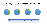## Summary of Clays Gender Pay Gap 2020/21



|        | Hourly Rate           | Percentage |
|--------|-----------------------|------------|
| Median | F: £9.74 M: £14.89    | 34.56%     |
| Mean   | $F:$ £11.36 M: £14.98 | 24.12%     |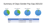## Summary of Clays Gender Pay Gap 2021/22



|        | <b>Hourly Rate</b>    | Percentage |
|--------|-----------------------|------------|
| Median | F: £10.26 M: £13.64   | 24.81%     |
| Mean   | $F:$ £11.64 M: £14.79 | 21.34%     |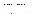## **Summary of our 2021/22 findings**

We are pleased to report that Clays median figure has reduced from the previous year by 10%. The mean figure has also reduced by 3%.

Our latest data shows a positive step forward with an increase of females moving into the upper and upper middle quartiles.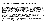#### **What are the underlying causes of Clays gender pay gap?**

Clays is committed to the principle of equal opportunities and equal treatment for all employees regardless of sex, race, religion/belief, age, marriage/ civil partnership, pregnancy/maternity, sexual orientation, gender reassignment or disability. Clays is therefore confident that its gender pay gap does not stem from paying men and women differently for the same or equivalent work. Its gender pay gap is the result of the respective roles in which men and women work within the organisation and the salary that these roles attract in the market place.

Our gender pay numbers do not reflect where we want to be as a company and we will continue to work towards closing the gap. The reason for the gap is primarily because of the shape of our company, we have significantly more men than women in senior or skilled roles that are higher paid.

Clays is a long-established business in the print industry that has in the past been traditionally staffed by predominantly males. Staff turnover is low and, although many more females are now being attracted into the industry, our factory workforce is still predominantly male.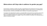#### **What actions will Clays take to address its gender pay gap?**

Several factors contribute to gender pay gaps at organisational and societal level and many of these won't be solved in the space of a few years. We believe, however, that over time, our commitment to fostering inclusion, fairness and flexibility will be reflected in our gender pay gap figures.

To progress in the right direction requires a concerted effort at every level of our business and at every point in the employee lifecycle, from recruitment through to progression opportunities and how we retain our people by keeping them engaged. Clays are committed to focusing on the following areas to address the gender pay gap.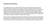#### **Inclusion & Diversity**

We recognise that none of our gender balance actions will succeed without the right culture and working environment. To this end, we're working on providing a working environment that is truly inclusive. We already have information consultation forums in place giving everyone a chance to voice their opinions across the business and feel included in changes made. Clays also have a Health & Safety Committee and Wellbeing Committee in place. Our annual health and wellbeing calendar campaigns cover a wide range of topics over the year aimed at supporting the health and wellbeing of all staff. Both committees are designed to build an inclusive workforce making sure the company listen to the workforce and they are involved in creating positive changes.

Clays are also amending the current diversity and equality policy we have in place to include inclusion going forward. This will highlight the importance to the company that everyone displays this behaviour and we create an inclusive environment. Our focus on respect and inclusion is about creating an environment where everyone can be themselves at work and is able to thrive, develop and succeed.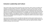#### **Inclusive Leadership and Culture**

Clays need to build a truly inclusive and diverse work environment, which is led by our leaders and underpins our gender balance commitment. We believe that a culture in which everyone is heard, respected and valued for who they are is a critical enabler of future growth and success. We have rolled out a new management development programme across the operational side of the business which focuses on progressing the development of our managers, ensuring they demonstrate the right attributes as managers. The programme focuses on developing them into strong leaders, ensuring they display the right personal attributes at all times, creating a fair, respectful and inclusive culture. In 2021, 21 of our managers joined the programme. The programme looked at several areas to support individual development.

Clays have been working on a five year health and safety plan involving various training across all departments and levels focusing on changing the culture. Our aim is to build a positive, inclusive and engaged culture. We will continue to push forward with this plan and implement positive changes across the business over the next year.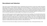#### **Recruitment and Selection**

Clays ensure a fair and consistent selection process is implemented across the business to ensure that no gender discrimination takes place throughout. The HR Department regularly review and gain feedback on our recruitment process. We are working on putting together a job description and person specification for every role we advertise. These documents will be used to form the selection criteria for shortlisting and interviewing candidates. Every role uses an interview scoring sheet ensuring every candidate is asked the same question and scored at the end of the interview. They are competency-based questions relating to the role to ensure the candidate best suited to the skills and experience required for the role is successful, regardless of what gender they are. HR are involved and supporting the recruiting manager/s at every stage of the recruitment process.

Clays are committed to ensuring we offer fair opportunities to both female and male candidates. The roles within the factory tend to attract more male candidates. In order to attempt to address this issue, Clays will be booking onto several local career fairs ensuring that we promote the roles we can offer to both female and male candidates. We will ensure our website and promotional materials at the career fairs display photos of our female workers across the factory, with a view to encouraging more female applications for roles that have previously attracted mainly male candidates. We will also ensure we have an equal split of female and male managers attending these events to display the equal opportunities we offer at Clays and encourage more female applicants in a predominantly male dominated environment to slowly break this trend.

We also plan visit local schools and colleges to promote the career opportunities at Clays, including apprenticeships on offer.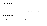## **Apprenticeships**

During this year, Clays has increased the number of apprenticeship courses offered, resulting in a total of 22 courses running throughout this year.

We will continue to offer apprenticeship courses across the business to support professional development for current members of staff, as well as creating newly employed apprenticeship roles.

## **Flexible Working**

Clays will ensure that all employees are aware of their rights with regards to flexible working through the employee handbook and company policies. The HR department will also ensure that all employees on parental leave are aware of the options available to help support them in their return to work.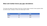#### **Mean and median bonus pay gap calculations**

The mean and median bonus figures show that no female workers received a bonus payment within the 2021/22 report, resulting in a mean and median figure of 100%

| <b>Bonus</b> | Female | <b>Male</b> |
|--------------|--------|-------------|
| Median       | 0%     | 100%        |
| Mean         | 0%     | 100%        |